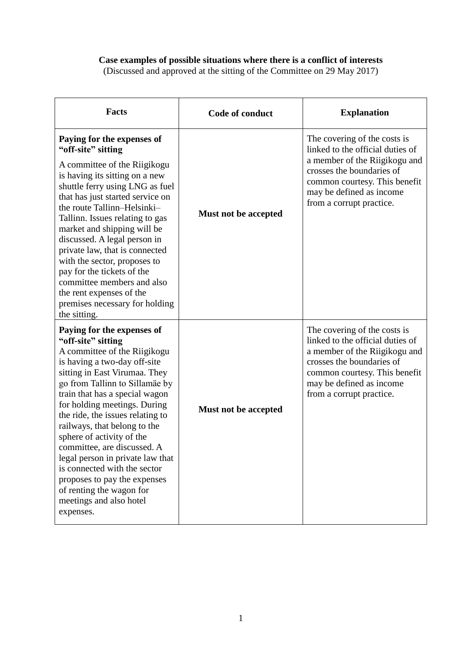## **Case examples of possible situations where there is a conflict of interests**

(Discussed and approved at the sitting of the Committee on 29 May 2017)

| <b>Facts</b>                                                                                                                                                                                                                                                                                                                                                                                                                                                                                                                                                  | Code of conduct      | <b>Explanation</b>                                                                                                                                                                                                      |
|---------------------------------------------------------------------------------------------------------------------------------------------------------------------------------------------------------------------------------------------------------------------------------------------------------------------------------------------------------------------------------------------------------------------------------------------------------------------------------------------------------------------------------------------------------------|----------------------|-------------------------------------------------------------------------------------------------------------------------------------------------------------------------------------------------------------------------|
| Paying for the expenses of<br>"off-site" sitting<br>A committee of the Riigikogu<br>is having its sitting on a new<br>shuttle ferry using LNG as fuel<br>that has just started service on<br>the route Tallinn–Helsinki–<br>Tallinn. Issues relating to gas<br>market and shipping will be<br>discussed. A legal person in<br>private law, that is connected<br>with the sector, proposes to<br>pay for the tickets of the<br>committee members and also<br>the rent expenses of the<br>premises necessary for holding<br>the sitting.                        | Must not be accepted | The covering of the costs is<br>linked to the official duties of<br>a member of the Riigikogu and<br>crosses the boundaries of<br>common courtesy. This benefit<br>may be defined as income<br>from a corrupt practice. |
| Paying for the expenses of<br>"off-site" sitting<br>A committee of the Riigikogu<br>is having a two-day off-site<br>sitting in East Virumaa. They<br>go from Tallinn to Sillamäe by<br>train that has a special wagon<br>for holding meetings. During<br>the ride, the issues relating to<br>railways, that belong to the<br>sphere of activity of the<br>committee, are discussed. A<br>legal person in private law that<br>is connected with the sector<br>proposes to pay the expenses<br>of renting the wagon for<br>meetings and also hotel<br>expenses. | Must not be accepted | The covering of the costs is<br>linked to the official duties of<br>a member of the Riigikogu and<br>crosses the boundaries of<br>common courtesy. This benefit<br>may be defined as income<br>from a corrupt practice. |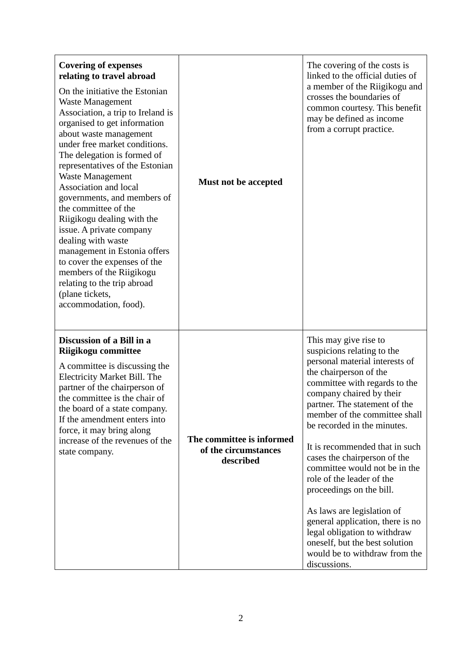| <b>Covering of expenses</b><br>relating to travel abroad<br>On the initiative the Estonian<br><b>Waste Management</b><br>Association, a trip to Ireland is<br>organised to get information<br>about waste management<br>under free market conditions.<br>The delegation is formed of<br>representatives of the Estonian<br><b>Waste Management</b><br>Association and local<br>governments, and members of<br>the committee of the<br>Riigikogu dealing with the<br>issue. A private company<br>dealing with waste<br>management in Estonia offers<br>to cover the expenses of the<br>members of the Riigikogu<br>relating to the trip abroad<br>(plane tickets,<br>accommodation, food). | Must not be accepted                                           | The covering of the costs is<br>linked to the official duties of<br>a member of the Riigikogu and<br>crosses the boundaries of<br>common courtesy. This benefit<br>may be defined as income<br>from a corrupt practice.                                                                                                                                                                                                                                                                                                                                                                                                        |
|-------------------------------------------------------------------------------------------------------------------------------------------------------------------------------------------------------------------------------------------------------------------------------------------------------------------------------------------------------------------------------------------------------------------------------------------------------------------------------------------------------------------------------------------------------------------------------------------------------------------------------------------------------------------------------------------|----------------------------------------------------------------|--------------------------------------------------------------------------------------------------------------------------------------------------------------------------------------------------------------------------------------------------------------------------------------------------------------------------------------------------------------------------------------------------------------------------------------------------------------------------------------------------------------------------------------------------------------------------------------------------------------------------------|
| Discussion of a Bill in a<br>Riigikogu committee<br>A committee is discussing the<br>Electricity Market Bill. The<br>partner of the chairperson of<br>the committee is the chair of<br>the board of a state company.<br>If the amendment enters into<br>force, it may bring along<br>increase of the revenues of the<br>state company.                                                                                                                                                                                                                                                                                                                                                    | The committee is informed<br>of the circumstances<br>described | This may give rise to<br>suspicions relating to the<br>personal material interests of<br>the chairperson of the<br>committee with regards to the<br>company chaired by their<br>partner. The statement of the<br>member of the committee shall<br>be recorded in the minutes.<br>It is recommended that in such<br>cases the chairperson of the<br>committee would not be in the<br>role of the leader of the<br>proceedings on the bill.<br>As laws are legislation of<br>general application, there is no<br>legal obligation to withdraw<br>oneself, but the best solution<br>would be to withdraw from the<br>discussions. |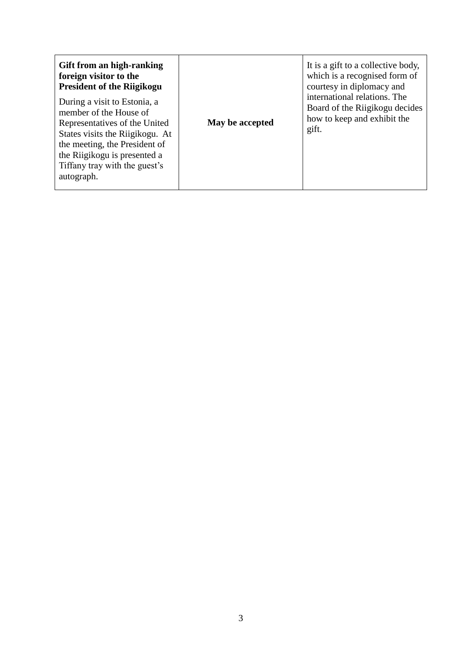| Gift from an high-ranking<br>foreign visitor to the<br><b>President of the Riigikogu</b><br>During a visit to Estonia, a<br>member of the House of<br>Representatives of the United<br>States visits the Riigikogu. At<br>the meeting, the President of<br>the Riigikogu is presented a<br>Tiffany tray with the guest's<br>autograph. | May be accepted | It is a gift to a collective body,<br>which is a recognised form of<br>courtesy in diplomacy and<br>international relations. The<br>Board of the Riigikogu decides<br>how to keep and exhibit the<br>gift. |
|----------------------------------------------------------------------------------------------------------------------------------------------------------------------------------------------------------------------------------------------------------------------------------------------------------------------------------------|-----------------|------------------------------------------------------------------------------------------------------------------------------------------------------------------------------------------------------------|
|----------------------------------------------------------------------------------------------------------------------------------------------------------------------------------------------------------------------------------------------------------------------------------------------------------------------------------------|-----------------|------------------------------------------------------------------------------------------------------------------------------------------------------------------------------------------------------------|